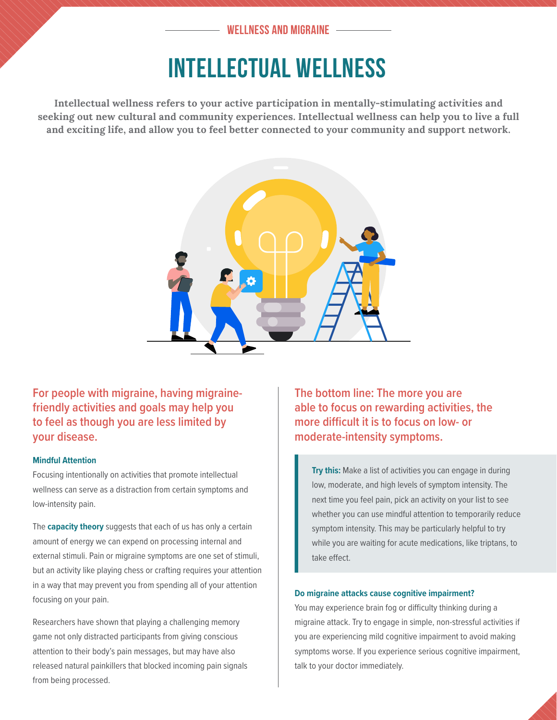## INTELLECTUAL WELLNESS

**Intellectual wellness refers to your active participation in mentally-stimulating activities and seeking out new cultural and community experiences. Intellectual wellness can help you to live a full and exciting life, and allow you to feel better connected to your community and support network.**



**For people with migraine, having migrainefriendly activities and goals may help you to feel as though you are less limited by your disease.**

#### **Mindful Attention**

Focusing intentionally on activities that promote intellectual wellness can serve as a distraction from certain symptoms and low-intensity pain.

The **capacity theory** suggests that each of us has only a certain amount of energy we can expend on processing internal and external stimuli. Pain or migraine symptoms are one set of stimuli, but an activity like playing chess or crafting requires your attention in a way that may prevent you from spending all of your attention focusing on your pain.

Researchers have shown that playing a challenging memory game not only distracted participants from giving conscious attention to their body's pain messages, but may have also released natural painkillers that blocked incoming pain signals from being processed.

**The bottom line: The more you are able to focus on rewarding activities, the more difficult it is to focus on low- or moderate-intensity symptoms.**

**Try this:** Make a list of activities you can engage in during low, moderate, and high levels of symptom intensity. The next time you feel pain, pick an activity on your list to see whether you can use mindful attention to temporarily reduce symptom intensity. This may be particularly helpful to try while you are waiting for acute medications, like triptans, to take effect.

#### **Do migraine attacks cause cognitive impairment?**

You may experience brain fog or difficulty thinking during a migraine attack. Try to engage in simple, non-stressful activities if you are experiencing mild cognitive impairment to avoid making symptoms worse. If you experience serious cognitive impairment, talk to your doctor immediately.